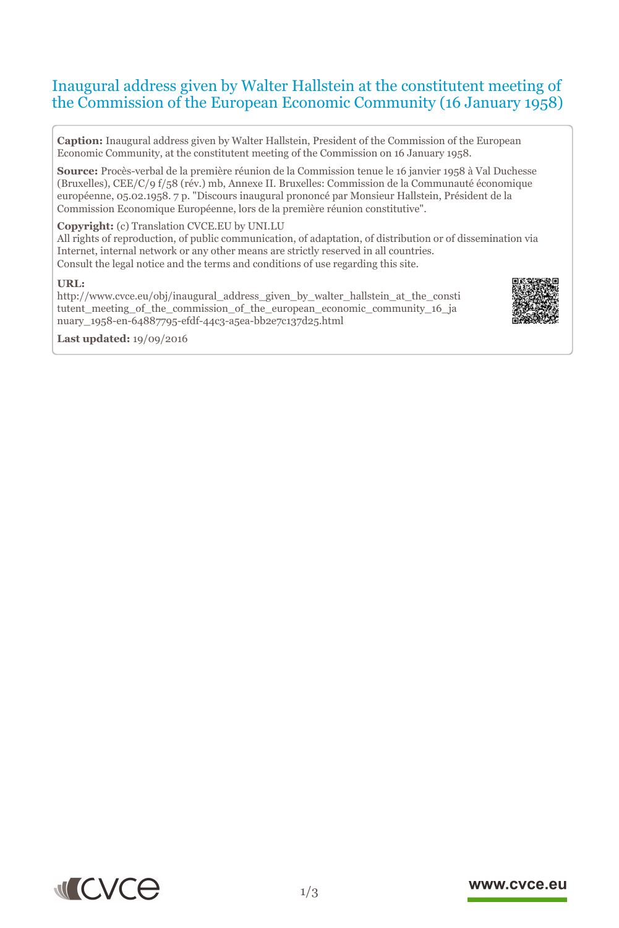# Inaugural address given by Walter Hallstein at the constitutent meeting of the Commission of the European Economic Community (16 January 1958)

**Caption:** Inaugural address given by Walter Hallstein, President of the Commission of the European Economic Community, at the constitutent meeting of the Commission on 16 January 1958.

**Source:** Procès-verbal de la première réunion de la Commission tenue le 16 janvier 1958 à Val Duchesse (Bruxelles), CEE/C/9 f/58 (rév.) mb, Annexe II. Bruxelles: Commission de la Communauté économique européenne, 05.02.1958. 7 p. "Discours inaugural prononcé par Monsieur Hallstein, Président de la Commission Economique Européenne, lors de la première réunion constitutive".

#### **Copyright:** (c) Translation CVCE.EU by UNI.LU

All rights of reproduction, of public communication, of adaptation, of distribution or of dissemination via Internet, internal network or any other means are strictly reserved in all countries. Consult the legal notice and the terms and conditions of use regarding this site.

#### **URL:**

http://www.cvce.eu/obj/inaugural\_address\_given\_by\_walter\_hallstein\_at\_the\_consti tutent meeting of the commission of the european economic community 16 ja nua[ry\\_1958-en-64887795-efdf-44c3-a5ea-bb2e7c137d25.html](http://www.cvce.eu/obj/inaugural_address_given_by_walter_hallstein_at_the_constitutent_meeting_of_the_commission_of_the_european_economic_community_16_january_1958-en-64887795-efdf-44c3-a5ea-bb2e7c137d25.html)



**Las[t updated:](http://www.cvce.eu/obj/inaugural_address_given_by_walter_hallstein_at_the_constitutent_meeting_of_the_commission_of_the_european_economic_community_16_january_1958-en-64887795-efdf-44c3-a5ea-bb2e7c137d25.html)** 19/09/2016



# www.cvce.eu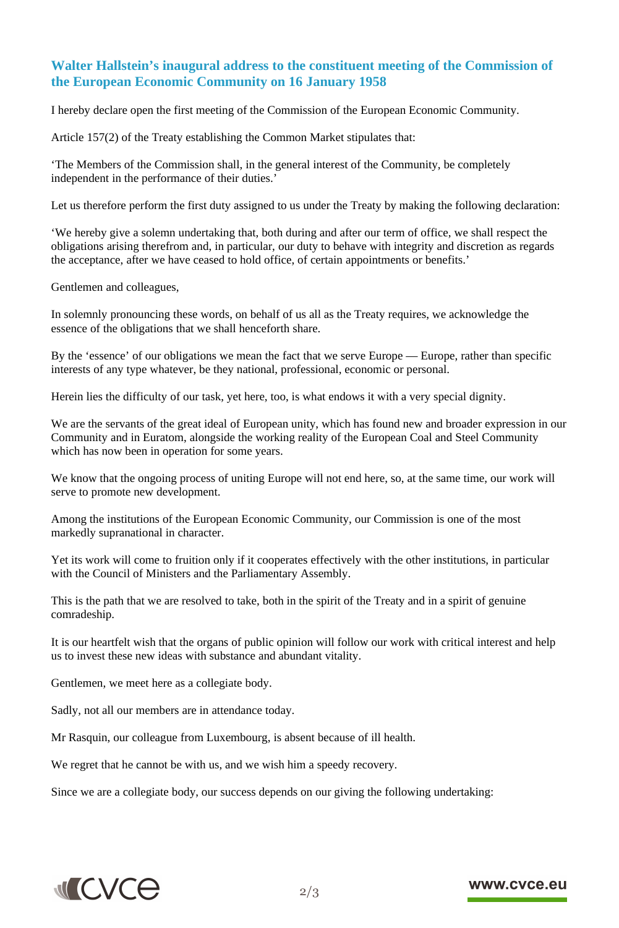# **Walter Hallstein's inaugural address to the constituent meeting of the Commission of the European Economic Community on 16 January 1958**

I hereby declare open the first meeting of the Commission of the European Economic Community.

Article 157(2) of the Treaty establishing the Common Market stipulates that:

'The Members of the Commission shall, in the general interest of the Community, be completely independent in the performance of their duties.'

Let us therefore perform the first duty assigned to us under the Treaty by making the following declaration:

'We hereby give a solemn undertaking that, both during and after our term of office, we shall respect the obligations arising therefrom and, in particular, our duty to behave with integrity and discretion as regards the acceptance, after we have ceased to hold office, of certain appointments or benefits.'

Gentlemen and colleagues,

In solemnly pronouncing these words, on behalf of us all as the Treaty requires, we acknowledge the essence of the obligations that we shall henceforth share.

By the 'essence' of our obligations we mean the fact that we serve Europe — Europe, rather than specific interests of any type whatever, be they national, professional, economic or personal.

Herein lies the difficulty of our task, yet here, too, is what endows it with a very special dignity.

We are the servants of the great ideal of European unity, which has found new and broader expression in our Community and in Euratom, alongside the working reality of the European Coal and Steel Community which has now been in operation for some years.

We know that the ongoing process of uniting Europe will not end here, so, at the same time, our work will serve to promote new development.

Among the institutions of the European Economic Community, our Commission is one of the most markedly supranational in character.

Yet its work will come to fruition only if it cooperates effectively with the other institutions, in particular with the Council of Ministers and the Parliamentary Assembly.

This is the path that we are resolved to take, both in the spirit of the Treaty and in a spirit of genuine comradeship.

It is our heartfelt wish that the organs of public opinion will follow our work with critical interest and help us to invest these new ideas with substance and abundant vitality.

Gentlemen, we meet here as a collegiate body.

Sadly, not all our members are in attendance today.

Mr Rasquin, our colleague from Luxembourg, is absent because of ill health.

We regret that he cannot be with us, and we wish him a speedy recovery.

Since we are a collegiate body, our success depends on our giving the following undertaking:



### www.cvce.eu